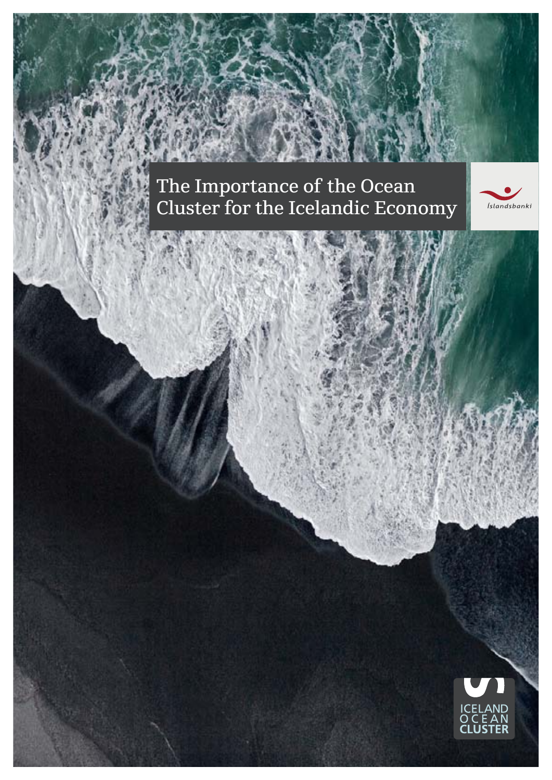The Importance of the Ocean Cluster for the Icelandic Economy



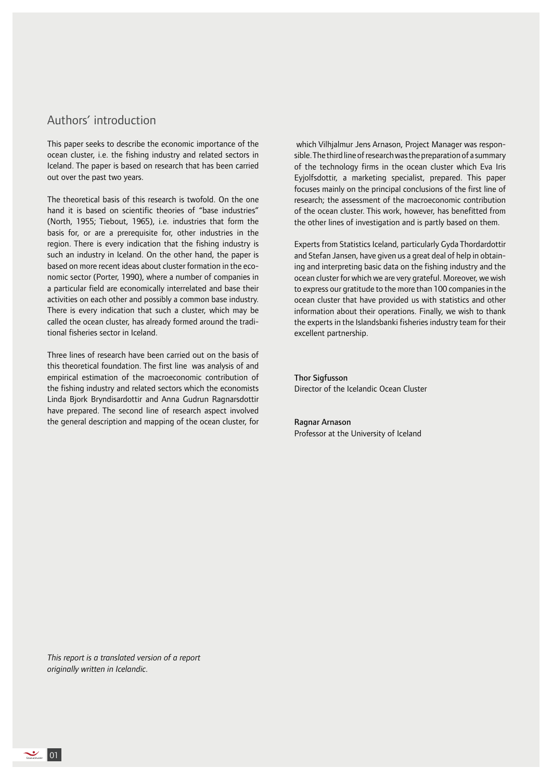# Authors' introduction

This paper seeks to describe the economic importance of the ocean cluster, i.e. the fishing industry and related sectors in Iceland. The paper is based on research that has been carried out over the past two years.

The theoretical basis of this research is twofold. On the one hand it is based on scientific theories of "base industries" (North, 1955; Tiebout, 1965), i.e. industries that form the basis for, or are a prerequisite for, other industries in the region. There is every indication that the fishing industry is such an industry in Iceland. On the other hand, the paper is based on more recent ideas about cluster formation in the economic sector (Porter, 1990), where a number of companies in a particular field are economically interrelated and base their activities on each other and possibly a common base industry. There is every indication that such a cluster, which may be called the ocean cluster, has already formed around the traditional fisheries sector in Iceland.

Three lines of research have been carried out on the basis of this theoretical foundation. The first line was analysis of and empirical estimation of the macroeconomic contribution of the fishing industry and related sectors which the economists Linda Bjork Bryndisardottir and Anna Gudrun Ragnarsdottir have prepared. The second line of research aspect involved the general description and mapping of the ocean cluster, for

 which Vilhjalmur Jens Arnason, Project Manager was responsible. The third line of research was the preparation of a summary of the technology firms in the ocean cluster which Eva Iris Eyjolfsdottir, a marketing specialist, prepared. This paper focuses mainly on the principal conclusions of the first line of research; the assessment of the macroeconomic contribution of the ocean cluster. This work, however, has benefitted from the other lines of investigation and is partly based on them.

Experts from Statistics Iceland, particularly Gyda Thordardottir and Stefan Jansen, have given us a great deal of help in obtaining and interpreting basic data on the fishing industry and the ocean cluster for which we are very grateful. Moreover, we wish to express our gratitude to the more than 100 companies in the ocean cluster that have provided us with statistics and other information about their operations. Finally, we wish to thank the experts in the Islandsbanki fisheries industry team for their excellent partnership.

Thor Sigfusson Director of the Icelandic Ocean Cluster

### Ragnar Arnason

Professor at the University of Iceland

*This report is a translated version of a report originally written in Icelandic.*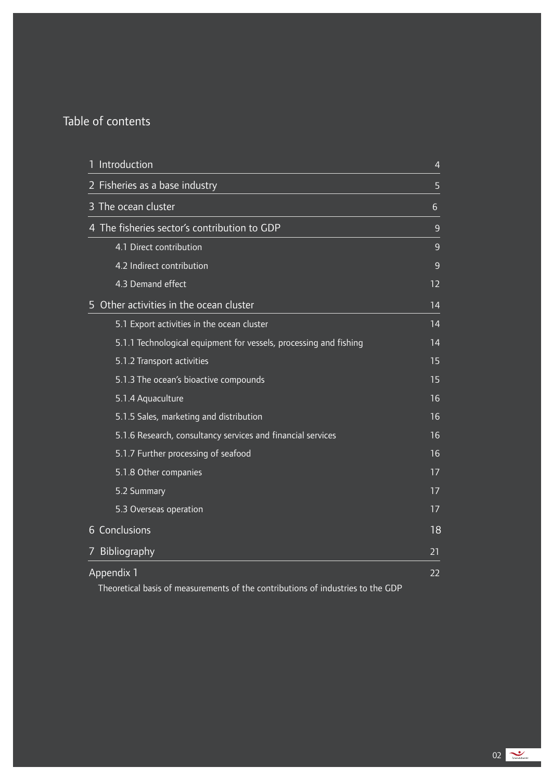# Table of contents

| Introduction                                                                    | $\overline{4}$   |
|---------------------------------------------------------------------------------|------------------|
| 2 Fisheries as a base industry                                                  | 5                |
| 3 The ocean cluster                                                             | $6 \overline{6}$ |
| 4 The fisheries sector's contribution to GDP                                    | $\overline{9}$   |
| 4.1 Direct contribution                                                         | 9                |
| 4.2 Indirect contribution                                                       | 9                |
| 4.3 Demand effect                                                               | 12               |
| Other activities in the ocean cluster                                           | 14               |
| 5.1 Export activities in the ocean cluster                                      | 14               |
| 5.1.1 Technological equipment for vessels, processing and fishing               | 14               |
| 5.1.2 Transport activities                                                      | 15               |
| 5.1.3 The ocean's bioactive compounds                                           | 15               |
| 5.1.4 Aquaculture                                                               | 16               |
| 5.1.5 Sales, marketing and distribution                                         | 16               |
| 5.1.6 Research, consultancy services and financial services                     | 16               |
| 5.1.7 Further processing of seafood                                             | 16               |
| 5.1.8 Other companies                                                           | 17               |
| 5.2 Summary                                                                     | 17               |
| 5.3 Overseas operation                                                          | 17               |
| 6 Conclusions                                                                   | 18               |
| Bibliography<br>7                                                               | 21               |
| Appendix 1                                                                      | 22               |
| Theoretical basis of measurements of the contributions of industries to the GDP |                  |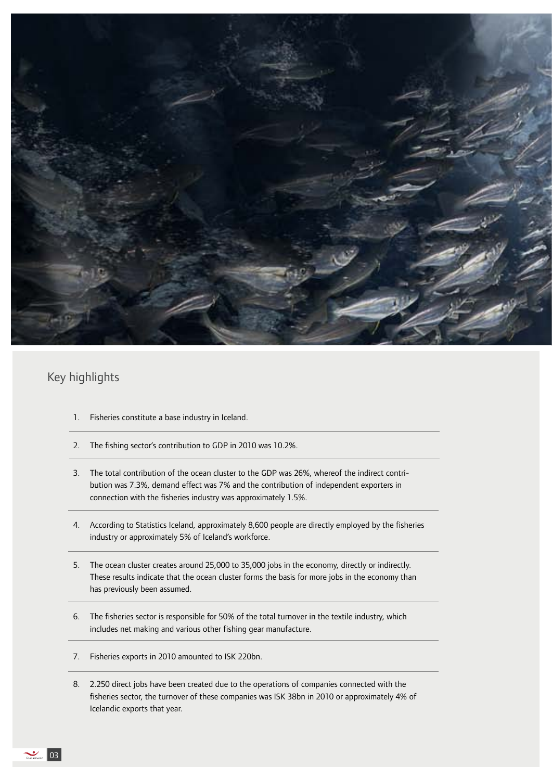

# Key highlights

- 1. Fisheries constitute a base industry in Iceland.
- 2. The fishing sector's contribution to GDP in 2010 was 10.2%.
- 3. The total contribution of the ocean cluster to the GDP was 26%, whereof the indirect contribution was 7.3%, demand effect was 7% and the contribution of independent exporters in connection with the fisheries industry was approximately 1.5%.
- 4. According to Statistics Iceland, approximately 8,600 people are directly employed by the fisheries industry or approximately 5% of Iceland's workforce.
- 5. The ocean cluster creates around 25,000 to 35,000 jobs in the economy, directly or indirectly. These results indicate that the ocean cluster forms the basis for more jobs in the economy than has previously been assumed.
- 6. The fisheries sector is responsible for 50% of the total turnover in the textile industry, which includes net making and various other fishing gear manufacture.
- 7. Fisheries exports in 2010 amounted to ISK 220bn.
- 8. 2.250 direct jobs have been created due to the operations of companies connected with the fisheries sector, the turnover of these companies was ISK 38bn in 2010 or approximately 4% of Icelandic exports that year.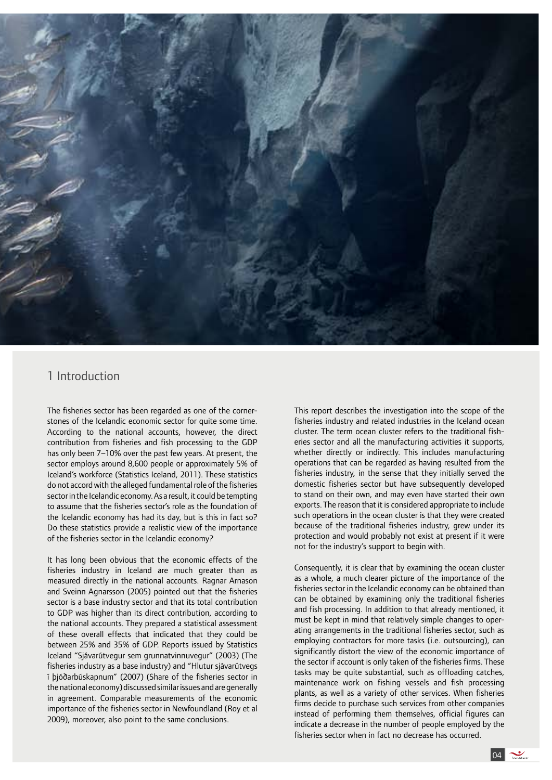

# 1 Introduction

The fisheries sector has been regarded as one of the cornerstones of the Icelandic economic sector for quite some time. According to the national accounts, however, the direct contribution from fisheries and fish processing to the GDP has only been 7–10% over the past few years. At present, the sector employs around 8,600 people or approximately 5% of Iceland's workforce (Statistics Iceland, 2011). These statistics do not accord with the alleged fundamental role of the fisheries sector in the Icelandic economy. As a result, it could be tempting to assume that the fisheries sector's role as the foundation of the Icelandic economy has had its day, but is this in fact so? Do these statistics provide a realistic view of the importance of the fisheries sector in the Icelandic economy?

It has long been obvious that the economic effects of the fisheries industry in Iceland are much greater than as measured directly in the national accounts. Ragnar Arnason and Sveinn Agnarsson (2005) pointed out that the fisheries sector is a base industry sector and that its total contribution to GDP was higher than its direct contribution, according to the national accounts. They prepared a statistical assessment of these overall effects that indicated that they could be between 25% and 35% of GDP. Reports issued by Statistics Iceland "Sjávarútvegur sem grunnatvinnuvegur" (2003) (The fisheries industry as a base industry) and "Hlutur sjávarútvegs í þjóðarbúskapnum" (2007) (Share of the fisheries sector in the national economy) discussed similar issues and are generally in agreement. Comparable measurements of the economic importance of the fisheries sector in Newfoundland (Roy et al 2009), moreover, also point to the same conclusions.

This report describes the investigation into the scope of the fisheries industry and related industries in the Iceland ocean cluster. The term ocean cluster refers to the traditional fisheries sector and all the manufacturing activities it supports, whether directly or indirectly. This includes manufacturing operations that can be regarded as having resulted from the fisheries industry, in the sense that they initially served the domestic fisheries sector but have subsequently developed to stand on their own, and may even have started their own exports. The reason that it is considered appropriate to include such operations in the ocean cluster is that they were created because of the traditional fisheries industry, grew under its protection and would probably not exist at present if it were not for the industry's support to begin with.

Consequently, it is clear that by examining the ocean cluster as a whole, a much clearer picture of the importance of the fisheries sector in the Icelandic economy can be obtained than can be obtained by examining only the traditional fisheries and fish processing. In addition to that already mentioned, it must be kept in mind that relatively simple changes to operating arrangements in the traditional fisheries sector, such as employing contractors for more tasks (i.e. outsourcing), can significantly distort the view of the economic importance of the sector if account is only taken of the fisheries firms. These tasks may be quite substantial, such as offloading catches, maintenance work on fishing vessels and fish processing plants, as well as a variety of other services. When fisheries firms decide to purchase such services from other companies instead of performing them themselves, official figures can indicate a decrease in the number of people employed by the fisheries sector when in fact no decrease has occurred.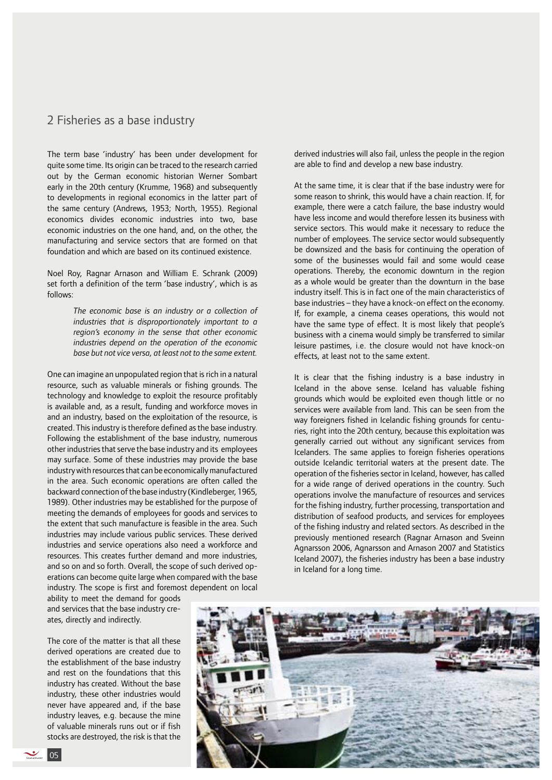### 2 Fisheries as a base industry

The term base 'industry' has been under development for quite some time. Its origin can be traced to the research carried out by the German economic historian Werner Sombart early in the 20th century (Krumme, 1968) and subsequently to developments in regional economics in the latter part of the same century (Andrews, 1953; North, 1955). Regional economics divides economic industries into two, base economic industries on the one hand, and, on the other, the manufacturing and service sectors that are formed on that foundation and which are based on its continued existence.

Noel Roy, Ragnar Arnason and William E. Schrank (2009) set forth a definition of the term 'base industry', which is as follows:

> *The economic base is an industry or a collection of industries that is disproportionately important to a region's economy in the sense that other economic industries depend on the operation of the economic base but not vice versa, at least not to the same extent.*

One can imagine an unpopulated region that is rich in a natural resource, such as valuable minerals or fishing grounds. The technology and knowledge to exploit the resource profitably is available and, as a result, funding and workforce moves in and an industry, based on the exploitation of the resource, is created. This industry is therefore defined as the base industry. Following the establishment of the base industry, numerous other industries that serve the base industry and its employees may surface. Some of these industries may provide the base industry with resources that can be economically manufactured in the area. Such economic operations are often called the backward connection of the base industry (Kindleberger, 1965, 1989). Other industries may be established for the purpose of meeting the demands of employees for goods and services to the extent that such manufacture is feasible in the area. Such industries may include various public services. These derived industries and service operations also need a workforce and resources. This creates further demand and more industries, and so on and so forth. Overall, the scope of such derived operations can become quite large when compared with the base industry. The scope is first and foremost dependent on local ability to meet the demand for goods

derived industries will also fail, unless the people in the region are able to find and develop a new base industry.

At the same time, it is clear that if the base industry were for some reason to shrink, this would have a chain reaction. If, for example, there were a catch failure, the base industry would have less income and would therefore lessen its business with service sectors. This would make it necessary to reduce the number of employees. The service sector would subsequently be downsized and the basis for continuing the operation of some of the businesses would fail and some would cease operations. Thereby, the economic downturn in the region as a whole would be greater than the downturn in the base industry itself. This is in fact one of the main characteristics of base industries – they have a knock-on effect on the economy. If, for example, a cinema ceases operations, this would not have the same type of effect. It is most likely that people's business with a cinema would simply be transferred to similar leisure pastimes, i.e. the closure would not have knock-on effects, at least not to the same extent.

It is clear that the fishing industry is a base industry in Iceland in the above sense. Iceland has valuable fishing grounds which would be exploited even though little or no services were available from land. This can be seen from the way foreigners fished in Icelandic fishing grounds for centuries, right into the 20th century, because this exploitation was generally carried out without any significant services from Icelanders. The same applies to foreign fisheries operations outside Icelandic territorial waters at the present date. The operation of the fisheries sector in Iceland, however, has called for a wide range of derived operations in the country. Such operations involve the manufacture of resources and services for the fishing industry, further processing, transportation and distribution of seafood products, and services for employees of the fishing industry and related sectors. As described in the previously mentioned research (Ragnar Arnason and Sveinn Agnarsson 2006, Agnarsson and Arnason 2007 and Statistics Iceland 2007), the fisheries industry has been a base industry in Iceland for a long time.



and services that the base industry creates, directly and indirectly.

The core of the matter is that all these derived operations are created due to the establishment of the base industry and rest on the foundations that this industry has created. Without the base industry, these other industries would never have appeared and, if the base industry leaves, e.g. because the mine of valuable minerals runs out or if fish stocks are destroyed, the risk is that the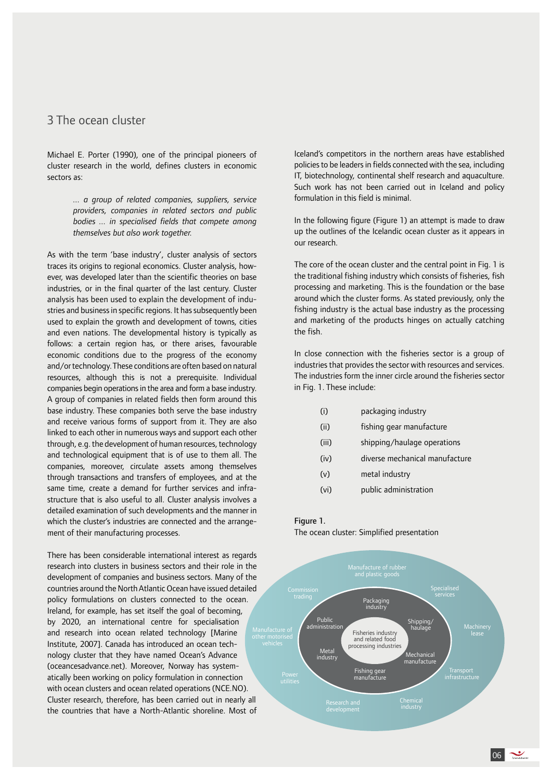# 3 The ocean cluster

Michael E. Porter (1990), one of the principal pioneers of cluster research in the world, defines clusters in economic sectors as:

> *... a group of related companies, suppliers, service providers, companies in related sectors and public bodies ... in specialised fields that compete among themselves but also work together.*

As with the term 'base industry', cluster analysis of sectors traces its origins to regional economics. Cluster analysis, however, was developed later than the scientific theories on base industries, or in the final quarter of the last century. Cluster analysis has been used to explain the development of industries and business in specific regions. It has subsequently been used to explain the growth and development of towns, cities and even nations. The developmental history is typically as follows: a certain region has, or there arises, favourable economic conditions due to the progress of the economy and/or technology. These conditions are often based on natural resources, although this is not a prerequisite. Individual companies begin operations in the area and form a base industry. A group of companies in related fields then form around this base industry. These companies both serve the base industry and receive various forms of support from it. They are also linked to each other in numerous ways and support each other through, e.g. the development of human resources, technology and technological equipment that is of use to them all. The companies, moreover, circulate assets among themselves through transactions and transfers of employees, and at the same time, create a demand for further services and infrastructure that is also useful to all. Cluster analysis involves a detailed examination of such developments and the manner in which the cluster's industries are connected and the arrangement of their manufacturing processes.

There has been considerable international interest as regards research into clusters in business sectors and their role in the development of companies and business sectors. Many of the countries around the North Atlantic Ocean have issued detailed policy formulations on clusters connected to the ocean. Ireland, for example, has set itself the goal of becoming, by 2020, an international centre for specialisation and research into ocean related technology [Marine Institute, 2007]. Canada has introduced an ocean technology cluster that they have named Ocean's Advance (oceancesadvance.net). Moreover, Norway has systematically been working on policy formulation in connection with ocean clusters and ocean related operations (NCE.NO). Cluster research, therefore, has been carried out in nearly all the countries that have a North-Atlantic shoreline. Most of Iceland's competitors in the northern areas have established policies to be leaders in fields connected with the sea, including IT, biotechnology, continental shelf research and aquaculture. Such work has not been carried out in Iceland and policy formulation in this field is minimal.

In the following figure (Figure 1) an attempt is made to draw up the outlines of the Icelandic ocean cluster as it appears in our research.

The core of the ocean cluster and the central point in Fig. 1 is the traditional fishing industry which consists of fisheries, fish processing and marketing. This is the foundation or the base around which the cluster forms. As stated previously, only the fishing industry is the actual base industry as the processing and marketing of the products hinges on actually catching the fish.

In close connection with the fisheries sector is a group of industries that provides the sector with resources and services. The industries form the inner circle around the fisheries sector in Fig. 1. These include:

- (i) packaging industry
- (ii) fishing gear manufacture
- (iii) shipping/haulage operations
- (iv) diverse mechanical manufacture
- (v) metal industry
- (vi) public administration

#### Figure 1.

The ocean cluster: Simplified presentation

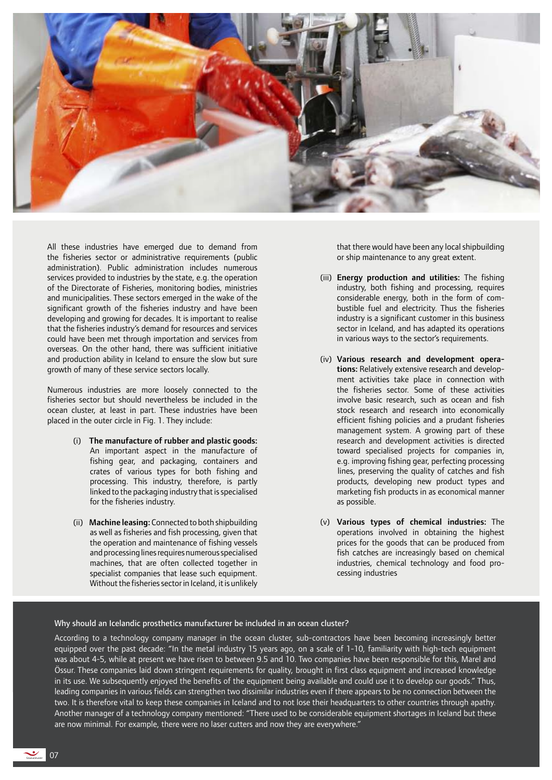

All these industries have emerged due to demand from the fisheries sector or administrative requirements (public administration). Public administration includes numerous services provided to industries by the state, e.g. the operation of the Directorate of Fisheries, monitoring bodies, ministries and municipalities. These sectors emerged in the wake of the significant growth of the fisheries industry and have been developing and growing for decades. It is important to realise that the fisheries industry's demand for resources and services could have been met through importation and services from overseas. On the other hand, there was sufficient initiative and production ability in Iceland to ensure the slow but sure growth of many of these service sectors locally.

Numerous industries are more loosely connected to the fisheries sector but should nevertheless be included in the ocean cluster, at least in part. These industries have been placed in the outer circle in Fig. 1. They include:

- (i) The manufacture of rubber and plastic goods: An important aspect in the manufacture of fishing gear, and packaging, containers and crates of various types for both fishing and processing. This industry, therefore, is partly linked to the packaging industry that is specialised for the fisheries industry.
- (ii) Machine leasing: Connected to both shipbuilding as well as fisheries and fish processing, given that the operation and maintenance of fishing vessels and processing lines requires numerous specialised machines, that are often collected together in specialist companies that lease such equipment. Without the fisheries sector in Iceland, it is unlikely

that there would have been any local shipbuilding or ship maintenance to any great extent.

- (iii) Energy production and utilities: The fishing industry, both fishing and processing, requires considerable energy, both in the form of combustible fuel and electricity. Thus the fisheries industry is a significant customer in this business sector in Iceland, and has adapted its operations in various ways to the sector's requirements.
- (iv) Various research and development operations: Relatively extensive research and development activities take place in connection with the fisheries sector. Some of these activities involve basic research, such as ocean and fish stock research and research into economically efficient fishing policies and a prudant fisheries management system. A growing part of these research and development activities is directed toward specialised projects for companies in, e.g. improving fishing gear, perfecting processing lines, preserving the quality of catches and fish products, developing new product types and marketing fish products in as economical manner as possible.
- (v) Various types of chemical industries: The operations involved in obtaining the highest prices for the goods that can be produced from fish catches are increasingly based on chemical industries, chemical technology and food processing industries

#### Why should an Icelandic prosthetics manufacturer be included in an ocean cluster?

According to a technology company manager in the ocean cluster, sub-contractors have been becoming increasingly better equipped over the past decade: "In the metal industry 15 years ago, on a scale of 1-10, familiarity with high-tech equipment was about 4-5, while at present we have risen to between 9.5 and 10. Two companies have been responsible for this, Marel and Össur. These companies laid down stringent requirements for quality, brought in first class equipment and increased knowledge in its use. We subsequently enjoyed the benefits of the equipment being available and could use it to develop our goods." Thus, leading companies in various fields can strengthen two dissimilar industries even if there appears to be no connection between the two. It is therefore vital to keep these companies in Iceland and to not lose their headquarters to other countries through apathy. Another manager of a technology company mentioned: "There used to be considerable equipment shortages in Iceland but these are now minimal. For example, there were no laser cutters and now they are everywhere."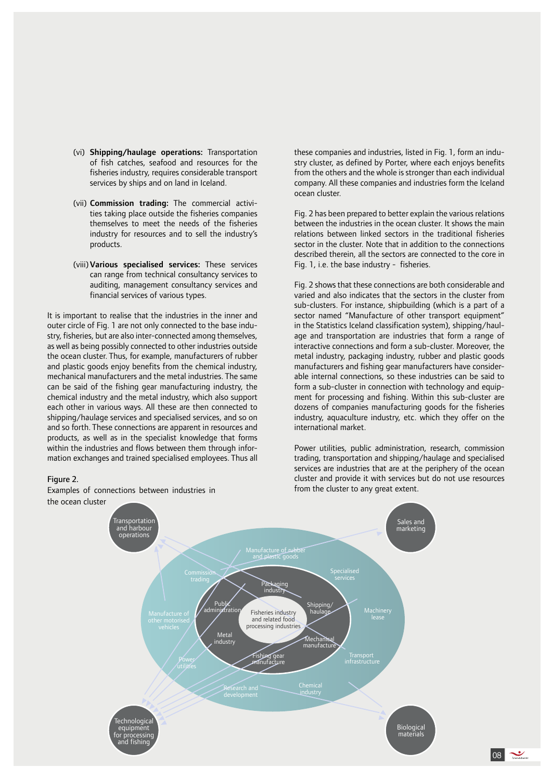- (vi) Shipping/haulage operations: Transportation of fish catches, seafood and resources for the fisheries industry, requires considerable transport services by ships and on land in Iceland.
- (vii) Commission trading: The commercial activities taking place outside the fisheries companies themselves to meet the needs of the fisheries industry for resources and to sell the industry's products.
- (viii)Various specialised services: These services can range from technical consultancy services to auditing, management consultancy services and financial services of various types.

It is important to realise that the industries in the inner and outer circle of Fig. 1 are not only connected to the base industry, fisheries, but are also inter-connected among themselves, as well as being possibly connected to other industries outside the ocean cluster. Thus, for example, manufacturers of rubber and plastic goods enjoy benefits from the chemical industry, mechanical manufacturers and the metal industries. The same can be said of the fishing gear manufacturing industry, the chemical industry and the metal industry, which also support each other in various ways. All these are then connected to shipping/haulage services and specialised services, and so on and so forth. These connections are apparent in resources and products, as well as in the specialist knowledge that forms within the industries and flows between them through information exchanges and trained specialised employees. Thus all

#### Figure 2.

Examples of connections between industries in the ocean cluster

these companies and industries, listed in Fig. 1, form an industry cluster, as defined by Porter, where each enjoys benefits from the others and the whole is stronger than each individual company. All these companies and industries form the Iceland ocean cluster.

Fig. 2 has been prepared to better explain the various relations between the industries in the ocean cluster. It shows the main relations between linked sectors in the traditional fisheries sector in the cluster. Note that in addition to the connections described therein, all the sectors are connected to the core in Fig. 1, i.e. the base industry - fisheries.

Fig. 2 shows that these connections are both considerable and varied and also indicates that the sectors in the cluster from sub-clusters. For instance, shipbuilding (which is a part of a sector named "Manufacture of other transport equipment" in the Statistics Iceland classification system), shipping/haulage and transportation are industries that form a range of interactive connections and form a sub-cluster. Moreover, the metal industry, packaging industry, rubber and plastic goods manufacturers and fishing gear manufacturers have considerable internal connections, so these industries can be said to form a sub-cluster in connection with technology and equipment for processing and fishing. Within this sub-cluster are dozens of companies manufacturing goods for the fisheries industry, aquaculture industry, etc. which they offer on the international market.

Power utilities, public administration, research, commission trading, transportation and shipping/haulage and specialised services are industries that are at the periphery of the ocean cluster and provide it with services but do not use resources from the cluster to any great extent.

 $\log$ 

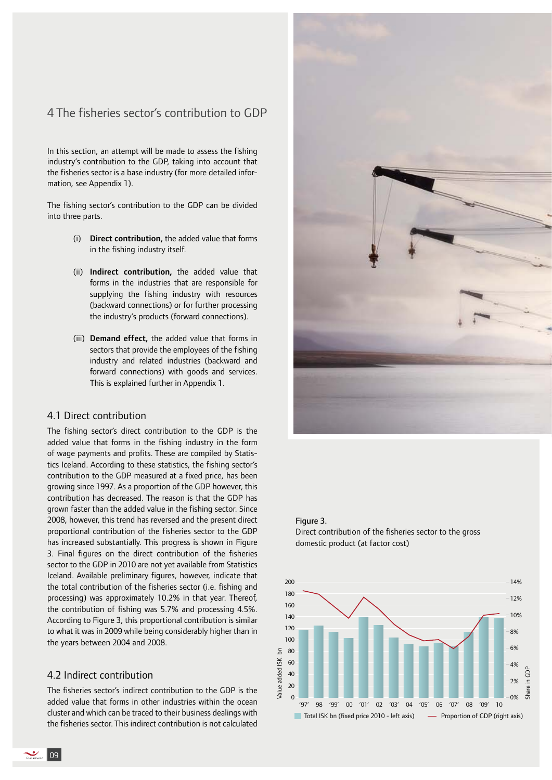# 4 The fisheries sector's contribution to GDP

In this section, an attempt will be made to assess the fishing industry's contribution to the GDP, taking into account that the fisheries sector is a base industry (for more detailed information, see Appendix 1).

The fishing sector's contribution to the GDP can be divided into three parts.

- (i) Direct contribution, the added value that forms in the fishing industry itself.
- (ii) Indirect contribution, the added value that forms in the industries that are responsible for supplying the fishing industry with resources (backward connections) or for further processing the industry's products (forward connections).
- (iii) Demand effect, the added value that forms in sectors that provide the employees of the fishing industry and related industries (backward and forward connections) with goods and services. This is explained further in Appendix 1.

#### 4.1 Direct contribution

The fishing sector's direct contribution to the GDP is the added value that forms in the fishing industry in the form of wage payments and profits. These are compiled by Statistics Iceland. According to these statistics, the fishing sector's contribution to the GDP measured at a fixed price, has been growing since 1997. As a proportion of the GDP however, this contribution has decreased. The reason is that the GDP has grown faster than the added value in the fishing sector. Since 2008, however, this trend has reversed and the present direct proportional contribution of the fisheries sector to the GDP has increased substantially. This progress is shown in Figure 3. Final figures on the direct contribution of the fisheries sector to the GDP in 2010 are not yet available from Statistics Iceland. Available preliminary figures, however, indicate that the total contribution of the fisheries sector (i.e. fishing and processing) was approximately 10.2% in that year. Thereof, the contribution of fishing was 5.7% and processing 4.5%. According to Figure 3, this proportional contribution is similar to what it was in 2009 while being considerably higher than in the years between 2004 and 2008.

### 4.2 Indirect contribution

The fisheries sector's indirect contribution to the GDP is the added value that forms in other industries within the ocean cluster and which can be traced to their business dealings with the fisheries sector. This indirect contribution is not calculated



#### Figure 3.

Value added ISK. bn

Value added

 $\overline{5}$ ISK.



Direct contribution of the fisheries sector to the gross domestic product (at factor cost)

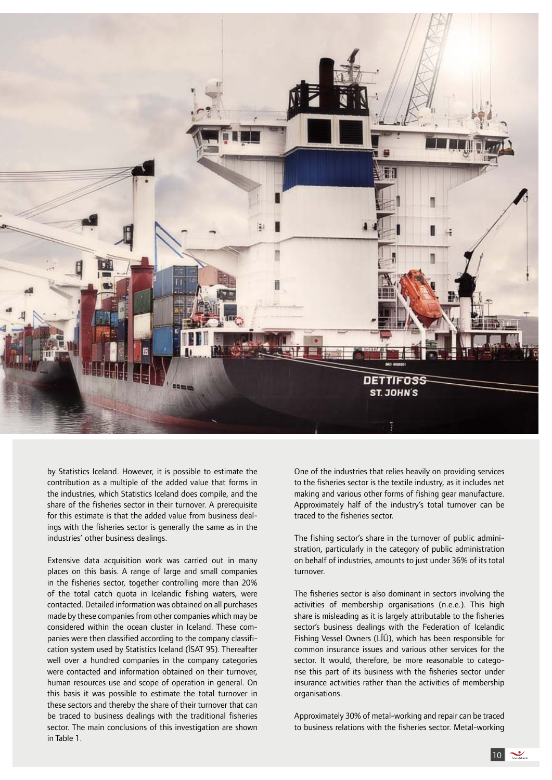

by Statistics Iceland. However, it is possible to estimate the contribution as a multiple of the added value that forms in the industries, which Statistics Iceland does compile, and the share of the fisheries sector in their turnover. A prerequisite for this estimate is that the added value from business dealings with the fisheries sector is generally the same as in the industries' other business dealings.

Extensive data acquisition work was carried out in many places on this basis. A range of large and small companies in the fisheries sector, together controlling more than 20% of the total catch quota in Icelandic fishing waters, were contacted. Detailed information was obtained on all purchases made by these companies from other companies which may be considered within the ocean cluster in Iceland. These companies were then classified according to the company classification system used by Statistics Iceland (ÍSAT 95). Thereafter well over a hundred companies in the company categories were contacted and information obtained on their turnover, human resources use and scope of operation in general. On this basis it was possible to estimate the total turnover in these sectors and thereby the share of their turnover that can be traced to business dealings with the traditional fisheries sector. The main conclusions of this investigation are shown in Table 1.

One of the industries that relies heavily on providing services to the fisheries sector is the textile industry, as it includes net making and various other forms of fishing gear manufacture. Approximately half of the industry's total turnover can be traced to the fisheries sector.

The fishing sector's share in the turnover of public administration, particularly in the category of public administration on behalf of industries, amounts to just under 36% of its total turnover.

The fisheries sector is also dominant in sectors involving the activities of membership organisations (n.e.e.). This high share is misleading as it is largely attributable to the fisheries sector's business dealings with the Federation of Icelandic Fishing Vessel Owners (LÍÚ), which has been responsible for common insurance issues and various other services for the sector. It would, therefore, be more reasonable to categorise this part of its business with the fisheries sector under insurance activities rather than the activities of membership organisations.

Approximately 30% of metal-working and repair can be traced to business relations with the fisheries sector. Metal-working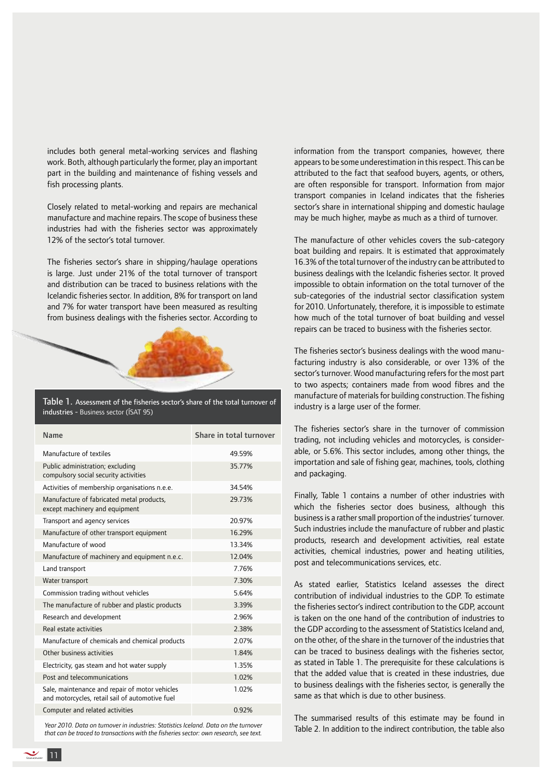includes both general metal-working services and flashing work. Both, although particularly the former, play an important part in the building and maintenance of fishing vessels and fish processing plants.

Closely related to metal-working and repairs are mechanical manufacture and machine repairs. The scope of business these industries had with the fisheries sector was approximately 12% of the sector's total turnover.

The fisheries sector's share in shipping/haulage operations is large. Just under 21% of the total turnover of transport and distribution can be traced to business relations with the Icelandic fisheries sector. In addition, 8% for transport on land and 7% for water transport have been measured as resulting from business dealings with the fisheries sector. According to



Table 1. Assessment of the fisheries sector's share of the total turnover of industries - Business sector (ÍSAT 95)

| Name                                                                                              | Share in total turnover |
|---------------------------------------------------------------------------------------------------|-------------------------|
| Manufacture of textiles                                                                           | 49.59%                  |
| Public administration; excluding<br>compulsory social security activities                         | 35.77%                  |
| Activities of membership organisations n.e.e.                                                     | 34.54%                  |
| Manufacture of fabricated metal products,<br>except machinery and equipment                       | 29.73%                  |
| Transport and agency services                                                                     | 20 97%                  |
| Manufacture of other transport equipment                                                          | 16.29%                  |
| Manufacture of wood                                                                               | 13.34%                  |
| Manufacture of machinery and equipment n.e.c.                                                     | 12.04%                  |
| Land transport                                                                                    | 7.76%                   |
| Water transport                                                                                   | 7.30%                   |
| Commission trading without vehicles                                                               | 5.64%                   |
| The manufacture of rubber and plastic products                                                    | 3.39%                   |
| Research and development                                                                          | 2.96%                   |
| Real estate activities                                                                            | 2.38%                   |
| Manufacture of chemicals and chemical products                                                    | 2.07%                   |
| Other business activities                                                                         | 1.84%                   |
| Electricity, gas steam and hot water supply                                                       | 1.35%                   |
| Post and telecommunications                                                                       | 1.02%                   |
| Sale, maintenance and repair of motor vehicles<br>and motorcycles, retail sail of automotive fuel | 1.02%                   |
| Computer and related activities                                                                   | 0.92%                   |

*Year 2010. Data on turnover in industries: Statistics Iceland. Data on the turnover that can be traced to transactions with the fisheries sector: own research, see text.*

information from the transport companies, however, there appears to be some underestimation in this respect. This can be attributed to the fact that seafood buyers, agents, or others, are often responsible for transport. Information from major transport companies in Iceland indicates that the fisheries sector's share in international shipping and domestic haulage may be much higher, maybe as much as a third of turnover.

The manufacture of other vehicles covers the sub-category boat building and repairs. It is estimated that approximately 16.3% of the total turnover of the industry can be attributed to business dealings with the Icelandic fisheries sector. It proved impossible to obtain information on the total turnover of the sub-categories of the industrial sector classification system for 2010. Unfortunately, therefore, it is impossible to estimate how much of the total turnover of boat building and vessel repairs can be traced to business with the fisheries sector.

The fisheries sector's business dealings with the wood manufacturing industry is also considerable, or over 13% of the sector's turnover. Wood manufacturing refers for the most part to two aspects; containers made from wood fibres and the manufacture of materials for building construction. The fishing industry is a large user of the former.

The fisheries sector's share in the turnover of commission trading, not including vehicles and motorcycles, is considerable, or 5.6%. This sector includes, among other things, the importation and sale of fishing gear, machines, tools, clothing and packaging.

Finally, Table 1 contains a number of other industries with which the fisheries sector does business, although this business is a rather small proportion of the industries' turnover. Such industries include the manufacture of rubber and plastic products, research and development activities, real estate activities, chemical industries, power and heating utilities, post and telecommunications services, etc.

As stated earlier, Statistics Iceland assesses the direct contribution of individual industries to the GDP. To estimate the fisheries sector's indirect contribution to the GDP, account is taken on the one hand of the contribution of industries to the GDP according to the assessment of Statistics Iceland and, on the other, of the share in the turnover of the industries that can be traced to business dealings with the fisheries sector, as stated in Table 1. The prerequisite for these calculations is that the added value that is created in these industries, due to business dealings with the fisheries sector, is generally the same as that which is due to other business.

The summarised results of this estimate may be found in Table 2. In addition to the indirect contribution, the table also

11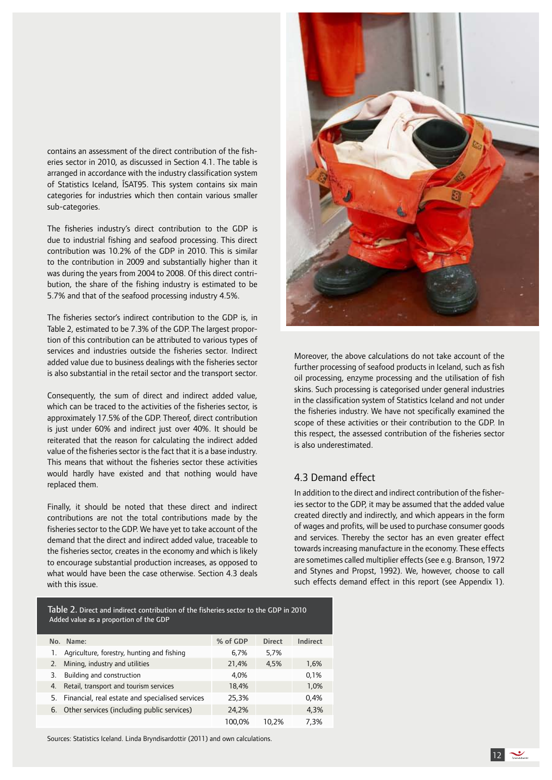contains an assessment of the direct contribution of the fisheries sector in 2010, as discussed in Section 4.1. The table is arranged in accordance with the industry classification system of Statistics Iceland, ÍSAT95. This system contains six main categories for industries which then contain various smaller sub-categories.

The fisheries industry's direct contribution to the GDP is due to industrial fishing and seafood processing. This direct contribution was 10.2% of the GDP in 2010. This is similar to the contribution in 2009 and substantially higher than it was during the years from 2004 to 2008. Of this direct contribution, the share of the fishing industry is estimated to be 5.7% and that of the seafood processing industry 4.5%.

The fisheries sector's indirect contribution to the GDP is, in Table 2, estimated to be 7.3% of the GDP. The largest proportion of this contribution can be attributed to various types of services and industries outside the fisheries sector. Indirect added value due to business dealings with the fisheries sector is also substantial in the retail sector and the transport sector.

Consequently, the sum of direct and indirect added value, which can be traced to the activities of the fisheries sector, is approximately 17.5% of the GDP. Thereof, direct contribution is just under 60% and indirect just over 40%. It should be reiterated that the reason for calculating the indirect added value of the fisheries sector is the fact that it is a base industry. This means that without the fisheries sector these activities would hardly have existed and that nothing would have replaced them.

Finally, it should be noted that these direct and indirect contributions are not the total contributions made by the fisheries sector to the GDP. We have yet to take account of the demand that the direct and indirect added value, traceable to the fisheries sector, creates in the economy and which is likely to encourage substantial production increases, as opposed to what would have been the case otherwise. Section 4.3 deals with this issue.

Table 2. Direct and indirect contribution of the fisheries sector to the GDP in 2010 Added value as a proportion of the GDP

|    | No. Name:                                       | % of GDP | <b>Direct</b> | Indirect |
|----|-------------------------------------------------|----------|---------------|----------|
| ı. | Agriculture, forestry, hunting and fishing      | 6.7%     | 5,7%          |          |
| 2. | Mining, industry and utilities                  | 21,4%    | 4.5%          | 1,6%     |
| 3. | Building and construction                       | 4.0%     |               | 0.1%     |
| 4. | Retail, transport and tourism services          | 18,4%    |               | 1,0%     |
| 5. | Financial, real estate and specialised services | 25,3%    |               | 0.4%     |
|    | 6. Other services (including public services)   | 24.2%    |               | 4.3%     |
|    |                                                 | 100.0%   | 10.2%         | 7.3%     |

Sources: Statistics Iceland. Linda Bryndisardottir (2011) and own calculations.



Moreover, the above calculations do not take account of the further processing of seafood products in Iceland, such as fish oil processing, enzyme processing and the utilisation of fish skins. Such processing is categorised under general industries in the classification system of Statistics Iceland and not under the fisheries industry. We have not specifically examined the scope of these activities or their contribution to the GDP. In this respect, the assessed contribution of the fisheries sector is also underestimated.

### 4.3 Demand effect

In addition to the direct and indirect contribution of the fisheries sector to the GDP, it may be assumed that the added value created directly and indirectly, and which appears in the form of wages and profits, will be used to purchase consumer goods and services. Thereby the sector has an even greater effect towards increasing manufacture in the economy. These effects are sometimes called multiplier effects (see e.g. Branson, 1972 and Stynes and Propst, 1992). We, however, choose to call such effects demand effect in this report (see Appendix 1).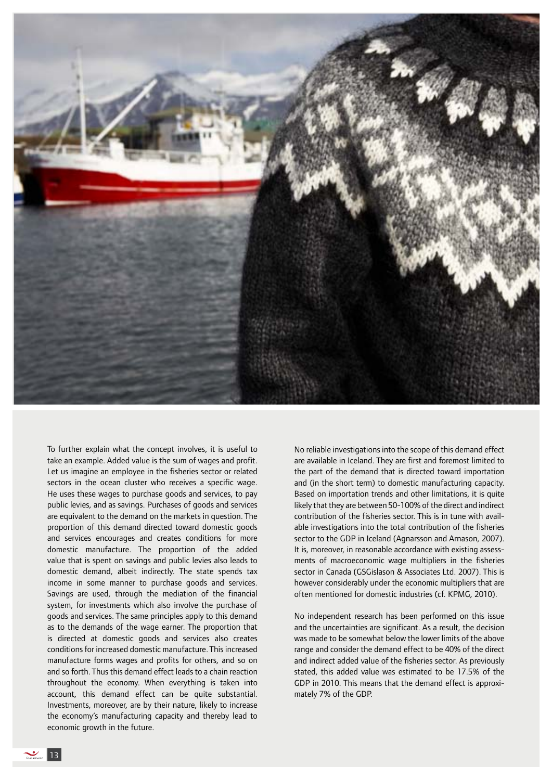

To further explain what the concept involves, it is useful to take an example. Added value is the sum of wages and profit. Let us imagine an employee in the fisheries sector or related sectors in the ocean cluster who receives a specific wage. He uses these wages to purchase goods and services, to pay public levies, and as savings. Purchases of goods and services are equivalent to the demand on the markets in question. The proportion of this demand directed toward domestic goods and services encourages and creates conditions for more domestic manufacture. The proportion of the added value that is spent on savings and public levies also leads to domestic demand, albeit indirectly. The state spends tax income in some manner to purchase goods and services. Savings are used, through the mediation of the financial system, for investments which also involve the purchase of goods and services. The same principles apply to this demand as to the demands of the wage earner. The proportion that is directed at domestic goods and services also creates conditions for increased domestic manufacture. This increased manufacture forms wages and profits for others, and so on and so forth. Thus this demand effect leads to a chain reaction throughout the economy. When everything is taken into account, this demand effect can be quite substantial. Investments, moreover, are by their nature, likely to increase the economy's manufacturing capacity and thereby lead to economic growth in the future.

No reliable investigations into the scope of this demand effect are available in Iceland. They are first and foremost limited to the part of the demand that is directed toward importation and (in the short term) to domestic manufacturing capacity. Based on importation trends and other limitations, it is quite likely that they are between 50-100% of the direct and indirect contribution of the fisheries sector. This is in tune with available investigations into the total contribution of the fisheries sector to the GDP in Iceland (Agnarsson and Arnason, 2007). It is, moreover, in reasonable accordance with existing assessments of macroeconomic wage multipliers in the fisheries sector in Canada (GSGislason & Associates Ltd. 2007). This is however considerably under the economic multipliers that are often mentioned for domestic industries (cf. KPMG, 2010).

No independent research has been performed on this issue and the uncertainties are significant. As a result, the decision was made to be somewhat below the lower limits of the above range and consider the demand effect to be 40% of the direct and indirect added value of the fisheries sector. As previously stated, this added value was estimated to be 17.5% of the GDP in 2010. This means that the demand effect is approximately 7% of the GDP.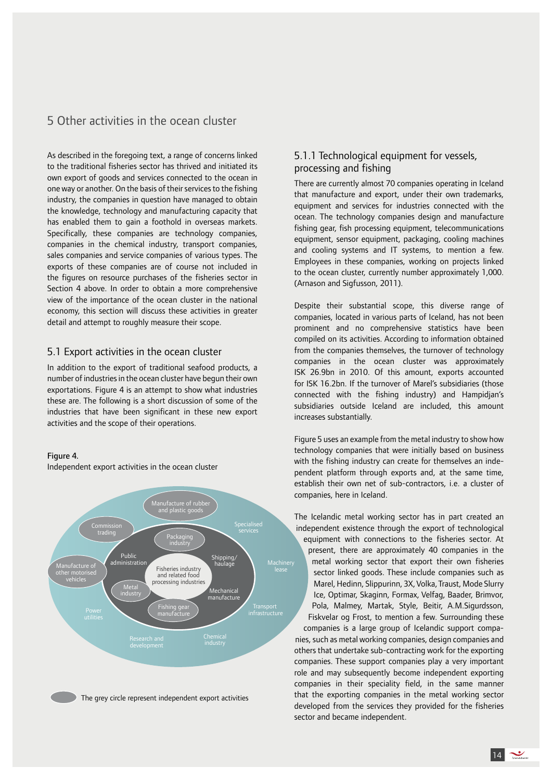# 5 Other activities in the ocean cluster

As described in the foregoing text, a range of concerns linked to the traditional fisheries sector has thrived and initiated its own export of goods and services connected to the ocean in one way or another. On the basis of their services to the fishing industry, the companies in question have managed to obtain the knowledge, technology and manufacturing capacity that has enabled them to gain a foothold in overseas markets. Specifically, these companies are technology companies, companies in the chemical industry, transport companies, sales companies and service companies of various types. The exports of these companies are of course not included in the figures on resource purchases of the fisheries sector in Section 4 above. In order to obtain a more comprehensive view of the importance of the ocean cluster in the national economy, this section will discuss these activities in greater detail and attempt to roughly measure their scope.

### 5.1 Export activities in the ocean cluster

In addition to the export of traditional seafood products, a number of industries in the ocean cluster have begun their own exportations. Figure 4 is an attempt to show what industries these are. The following is a short discussion of some of the industries that have been significant in these new export activities and the scope of their operations.

#### Figure 4.

Independent export activities in the ocean cluster



### 5.1.1 Technological equipment for vessels, processing and fishing

There are currently almost 70 companies operating in Iceland that manufacture and export, under their own trademarks, equipment and services for industries connected with the ocean. The technology companies design and manufacture fishing gear, fish processing equipment, telecommunications equipment, sensor equipment, packaging, cooling machines and cooling systems and IT systems, to mention a few. Employees in these companies, working on projects linked to the ocean cluster, currently number approximately 1,000. (Arnason and Sigfusson, 2011).

Despite their substantial scope, this diverse range of companies, located in various parts of Iceland, has not been prominent and no comprehensive statistics have been compiled on its activities. According to information obtained from the companies themselves, the turnover of technology companies in the ocean cluster was approximately ISK 26.9bn in 2010. Of this amount, exports accounted for ISK 16.2bn. If the turnover of Marel's subsidiaries (those connected with the fishing industry) and Hampidjan's subsidiaries outside Iceland are included, this amount increases substantially.

Figure 5 uses an example from the metal industry to show how technology companies that were initially based on business with the fishing industry can create for themselves an independent platform through exports and, at the same time, establish their own net of sub-contractors, i.e. a cluster of companies, here in Iceland.

The Icelandic metal working sector has in part created an independent existence through the export of technological equipment with connections to the fisheries sector. At present, there are approximately 40 companies in the metal working sector that export their own fisheries sector linked goods. These include companies such as Marel, Hedinn, Slippurinn, 3X, Volka, Traust, Mode Slurry Ice, Optimar, Skaginn, Formax, Velfag, Baader, Brimvor, Pola, Malmey, Martak, Style, Beitir, A.M.Sigurdsson, Fiskvelar og Frost, to mention a few. Surrounding these companies is a large group of Icelandic support companies, such as metal working companies, design companies and others that undertake sub-contracting work for the exporting companies. These support companies play a very important role and may subsequently become independent exporting companies in their speciality field, in the same manner that the exporting companies in the metal working sector developed from the services they provided for the fisheries sector and became independent.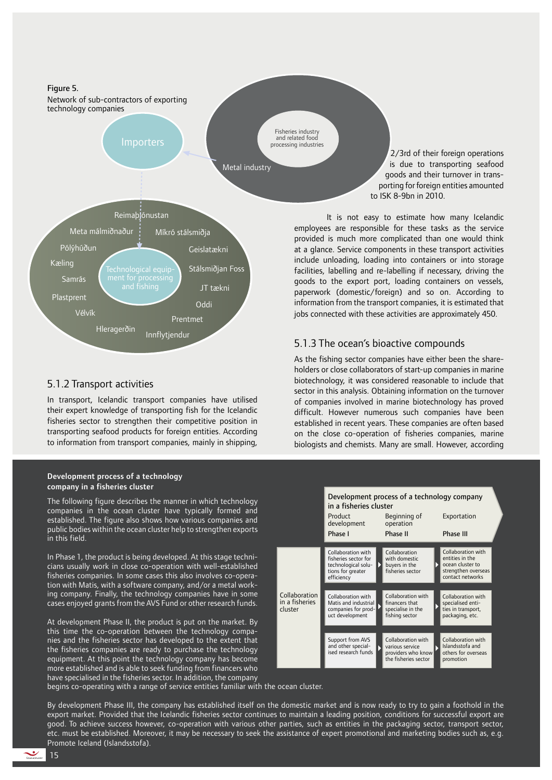Figure 5. Network of sub-contractors of exporting technology companies Importers

Fisheries industry and related food processing industries

Metal industry



# 5.1.2 Transport activities

In transport, Icelandic transport companies have utilised their expert knowledge of transporting fish for the Icelandic fisheries sector to strengthen their competitive position in transporting seafood products for foreign entities. According to information from transport companies, mainly in shipping,

#### Development process of a technology company in a fisheries cluster

The following figure describes the manner in which technology companies in the ocean cluster have typically formed and established. The figure also shows how various companies and public bodies within the ocean cluster help to strengthen exports in this field.

In Phase 1, the product is being developed. At this stage technicians usually work in close co-operation with well-established fisheries companies. In some cases this also involves co-operation with Matis, with a software company, and/or a metal working company. Finally, the technology companies have in some cases enjoyed grants from the AVS Fund or other research funds.

At development Phase II, the product is put on the market. By this time the co-operation between the technology companies and the fisheries sector has developed to the extent that the fisheries companies are ready to purchase the technology equipment. At this point the technology company has become more established and is able to seek funding from financers who have specialised in the fisheries sector. In addition, the company begins co-operating with a range of service entities familiar with the ocean cluster.

2/3rd of their foreign operations is due to transporting seafood goods and their turnover in transporting for foreign entities amounted to ISK 8-9bn in 2010.

It is not easy to estimate how many Icelandic employees are responsible for these tasks as the service provided is much more complicated than one would think at a glance. Service components in these transport activities include unloading, loading into containers or into storage facilities, labelling and re-labelling if necessary, driving the goods to the export port, loading containers on vessels, paperwork (domestic/foreign) and so on. According to information from the transport companies, it is estimated that jobs connected with these activities are approximately 450.

### 5.1.3 The ocean's bioactive compounds

As the fishing sector companies have either been the shareholders or close collaborators of start-up companies in marine biotechnology, it was considered reasonable to include that sector in this analysis. Obtaining information on the turnover of companies involved in marine biotechnology has proved difficult. However numerous such companies have been established in recent years. These companies are often based on the close co-operation of fisheries companies, marine biologists and chemists. Many are small. However, according



By development Phase III, the company has established itself on the domestic market and is now ready to try to gain a foothold in the export market. Provided that the Icelandic fisheries sector continues to maintain a leading position, conditions for successful export are good. To achieve success however, co-operation with various other parties, such as entities in the packaging sector, transport sector, etc. must be established. Moreover, it may be necessary to seek the assistance of expert promotional and marketing bodies such as, e.g. Promote Iceland (Islandsstofa).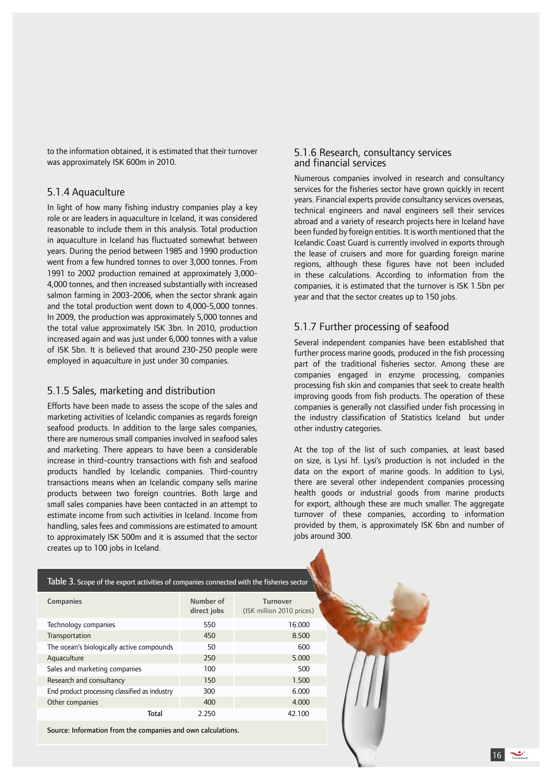to the information obtained, it is estimated that their turnover was approximately ISK 600m in 2010.

#### 5.1.4 Aquaculture

In light of how many fishing industry companies play a key role or are leaders in aquaculture in Iceland, it was considered reasonable to include them in this analysis. Total production in aquaculture in Iceland has fluctuated somewhat between years. During the period between 1985 and 1990 production went from a few hundred tonnes to over 3,000 tonnes. From 1991 to 2002 production remained at approximately 3,000-4,000 tonnes, and then increased substantially with increased salmon farming in 2003-2006, when the sector shrank again and the total production went down to 4,000-5,000 tonnes. In 2009, the production was approximately 5,000 tonnes and the total value approximately ISK 3bn. In 2010, production increased again and was just under 6,000 tonnes with a value of ISK 5bn. It is believed that around 230-250 people were employed in aquaculture in just under 30 companies.

### 5.1.5 Sales, marketing and distribution

Efforts have been made to assess the scope of the sales and marketing activities of Icelandic companies as regards foreign seafood products. In addition to the large sales companies, there are numerous small companies involved in seafood sales and marketing. There appears to have been a considerable increase in third-country transactions with fish and seafood products handled by Icelandic companies. Third-country transactions means when an Icelandic company sells marine products between two foreign countries. Both large and small sales companies have been contacted in an attempt to estimate income from such activities in Iceland. Income from handling, sales fees and commissions are estimated to amount to approximately ISK 500m and it is assumed that the sector creates up to 100 jobs in Iceland.

#### 5.1.6 Research, consultancy services and financial services

Numerous companies involved in research and consultancy services for the fisheries sector have grown quickly in recent years. Financial experts provide consultancy services overseas, technical engineers and naval engineers sell their services abroad and a variety of research projects here in Iceland have been funded by foreign entities. It is worth mentioned that the Icelandic Coast Guard is currently involved in exports through the lease of cruisers and more for guarding foreign marine regions, although these figures have not been included in these calculations. According to information from the companies, it is estimated that the turnover is ISK 1.5bn per year and that the sector creates up to 150 jobs.

### 5.1.7 Further processing of seafood

Several independent companies have been established that further process marine goods, produced in the fish processing part of the traditional fisheries sector. Among these are companies engaged in enzyme processing, companies processing fish skin and companies that seek to create health improving goods from fish products. The operation of these companies is generally not classified under fish processing in the industry classification of Statistics Iceland but under other industry categories.

At the top of the list of such companies, at least based on size, is Lysi hf. Lysi's production is not included in the data on the export of marine goods. In addition to Lysi, there are several other independent companies processing health goods or industrial goods from marine products for export, although these are much smaller. The aggregate turnover of these companies, according to information provided by them, is approximately ISK 6bn and number of jobs around 300.

| Table 3. Scope of the export activities of companies connected with the fisheries sector |                          |                                              |  |  |
|------------------------------------------------------------------------------------------|--------------------------|----------------------------------------------|--|--|
| <b>Companies</b>                                                                         | Number of<br>direct jobs | <b>Turnover</b><br>(ISK million 2010 prices) |  |  |
| Technology companies                                                                     | 550                      | 16.000                                       |  |  |
| Transportation                                                                           | 450                      | 8.500                                        |  |  |
| The ocean's biologically active compounds                                                | 50                       | 600                                          |  |  |
| Aquaculture                                                                              | 250                      | 5.000                                        |  |  |
| Sales and marketing companies                                                            | 100                      | 500                                          |  |  |
| Research and consultancy                                                                 | 150                      | 1.500                                        |  |  |
| End product processing classified as industry                                            | 300                      | 6.000                                        |  |  |
| Other companies                                                                          | 400                      | 4.000                                        |  |  |
| <b>Total</b>                                                                             | 2.250                    | 42.100                                       |  |  |

Source: Information from the companies and own calculations.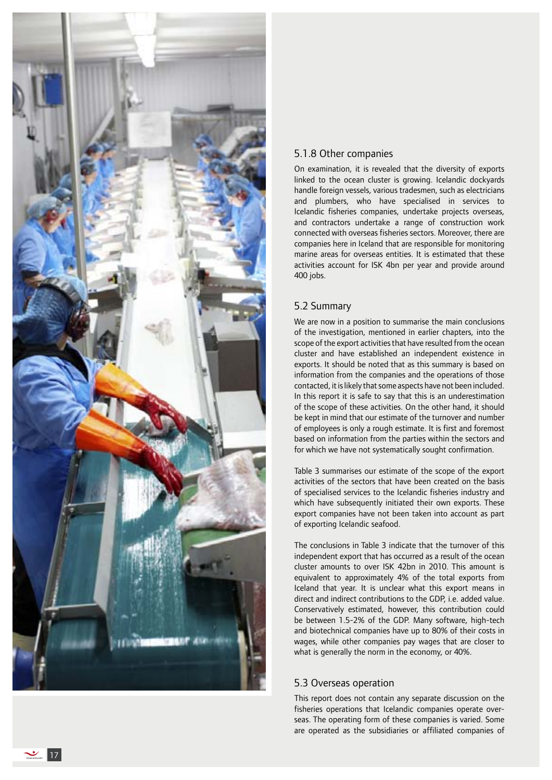

## 5.1.8 Other companies

On examination, it is revealed that the diversity of exports linked to the ocean cluster is growing. Icelandic dockyards handle foreign vessels, various tradesmen, such as electricians and plumbers, who have specialised in services to Icelandic fisheries companies, undertake projects overseas, and contractors undertake a range of construction work connected with overseas fisheries sectors. Moreover, there are companies here in Iceland that are responsible for monitoring marine areas for overseas entities. It is estimated that these activities account for ISK 4bn per year and provide around 400 jobs.

### 5.2 Summary

We are now in a position to summarise the main conclusions of the investigation, mentioned in earlier chapters, into the scope of the export activities that have resulted from the ocean cluster and have established an independent existence in exports. It should be noted that as this summary is based on information from the companies and the operations of those contacted, it is likely that some aspects have not been included. In this report it is safe to say that this is an underestimation of the scope of these activities. On the other hand, it should be kept in mind that our estimate of the turnover and number of employees is only a rough estimate. It is first and foremost based on information from the parties within the sectors and for which we have not systematically sought confirmation.

Table 3 summarises our estimate of the scope of the export activities of the sectors that have been created on the basis of specialised services to the Icelandic fisheries industry and which have subsequently initiated their own exports. These export companies have not been taken into account as part of exporting Icelandic seafood.

The conclusions in Table 3 indicate that the turnover of this independent export that has occurred as a result of the ocean cluster amounts to over ISK 42bn in 2010. This amount is equivalent to approximately 4% of the total exports from Iceland that year. It is unclear what this export means in direct and indirect contributions to the GDP, i.e. added value. Conservatively estimated, however, this contribution could be between 1.5 -2% of the GDP. Many software, high -tech and biotechnical companies have up to 80% of their costs in wages, while other companies pay wages that are closer to what is generally the norm in the economy, or 40%.

### 5.3 Overseas operation

This report does not contain any separate discussion on the fisheries operations that Icelandic companies operate over seas. The operating form of these companies is varied. Some are operated as the subsidiaries or affiliated companies of

 $\frac{1}{\frac{1}{\frac{1}{2} \cdot \frac{1}{2} \cdot \frac{1}{2} \cdot \frac{1}{2} \cdot \frac{1}{2} \cdot \frac{1}{2} \cdot \frac{1}{2} \cdot \frac{1}{2} \cdot \frac{1}{2} \cdot \frac{1}{2} \cdot \frac{1}{2} \cdot \frac{1}{2} \cdot \frac{1}{2} \cdot \frac{1}{2} \cdot \frac{1}{2} \cdot \frac{1}{2} \cdot \frac{1}{2} \cdot \frac{1}{2} \cdot \frac{1}{2} \cdot \frac{1}{2} \cdot \frac{1}{2} \cdot \frac{1}{2} \cdot \frac{1}{2} \cdot \frac{$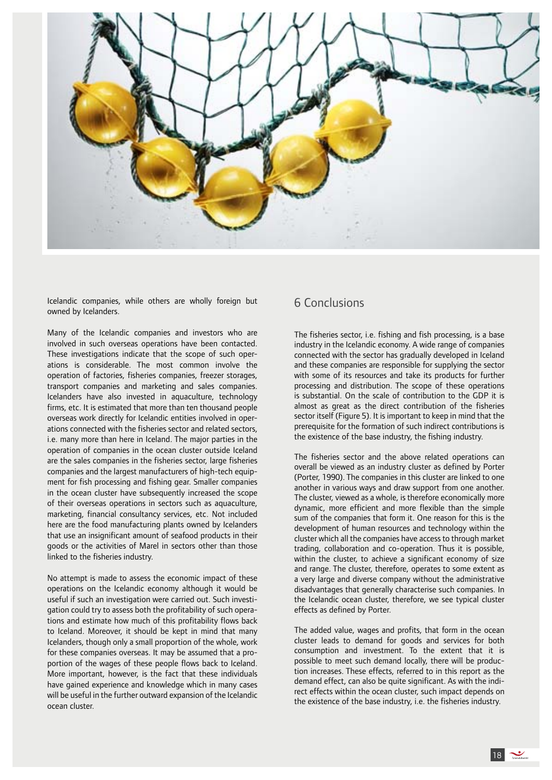

Icelandic companies, while others are wholly foreign but owned by Icelanders.

Many of the Icelandic companies and investors who are involved in such overseas operations have been contacted. These investigations indicate that the scope of such operations is considerable. The most common involve the operation of factories, fisheries companies, freezer storages, transport companies and marketing and sales companies. Icelanders have also invested in aquaculture, technology firms, etc. It is estimated that more than ten thousand people overseas work directly for Icelandic entities involved in operations connected with the fisheries sector and related sectors, i.e. many more than here in Iceland. The major parties in the operation of companies in the ocean cluster outside Iceland are the sales companies in the fisheries sector, large fisheries companies and the largest manufacturers of high-tech equipment for fish processing and fishing gear. Smaller companies in the ocean cluster have subsequently increased the scope of their overseas operations in sectors such as aquaculture, marketing, financial consultancy services, etc. Not included here are the food manufacturing plants owned by Icelanders that use an insignificant amount of seafood products in their goods or the activities of Marel in sectors other than those linked to the fisheries industry.

No attempt is made to assess the economic impact of these operations on the Icelandic economy although it would be useful if such an investigation were carried out. Such investigation could try to assess both the profitability of such operations and estimate how much of this profitability flows back to Iceland. Moreover, it should be kept in mind that many Icelanders, though only a small proportion of the whole, work for these companies overseas. It may be assumed that a proportion of the wages of these people flows back to Iceland. More important, however, is the fact that these individuals have gained experience and knowledge which in many cases will be useful in the further outward expansion of the Icelandic ocean cluster.

# 6 Conclusions

The fisheries sector, i.e. fishing and fish processing, is a base industry in the Icelandic economy. A wide range of companies connected with the sector has gradually developed in Iceland and these companies are responsible for supplying the sector with some of its resources and take its products for further processing and distribution. The scope of these operations is substantial. On the scale of contribution to the GDP it is almost as great as the direct contribution of the fisheries sector itself (Figure 5). It is important to keep in mind that the prerequisite for the formation of such indirect contributions is the existence of the base industry, the fishing industry.

The fisheries sector and the above related operations can overall be viewed as an industry cluster as defined by Porter (Porter, 1990). The companies in this cluster are linked to one another in various ways and draw support from one another. The cluster, viewed as a whole, is therefore economically more dynamic, more efficient and more flexible than the simple sum of the companies that form it. One reason for this is the development of human resources and technology within the cluster which all the companies have access to through market trading, collaboration and co-operation. Thus it is possible, within the cluster, to achieve a significant economy of size and range. The cluster, therefore, operates to some extent as a very large and diverse company without the administrative disadvantages that generally characterise such companies. In the Icelandic ocean cluster, therefore, we see typical cluster effects as defined by Porter.

The added value, wages and profits, that form in the ocean cluster leads to demand for goods and services for both consumption and investment. To the extent that it is possible to meet such demand locally, there will be production increases. These effects, referred to in this report as the demand effect, can also be quite significant. As with the indirect effects within the ocean cluster, such impact depends on the existence of the base industry, i.e. the fisheries industry.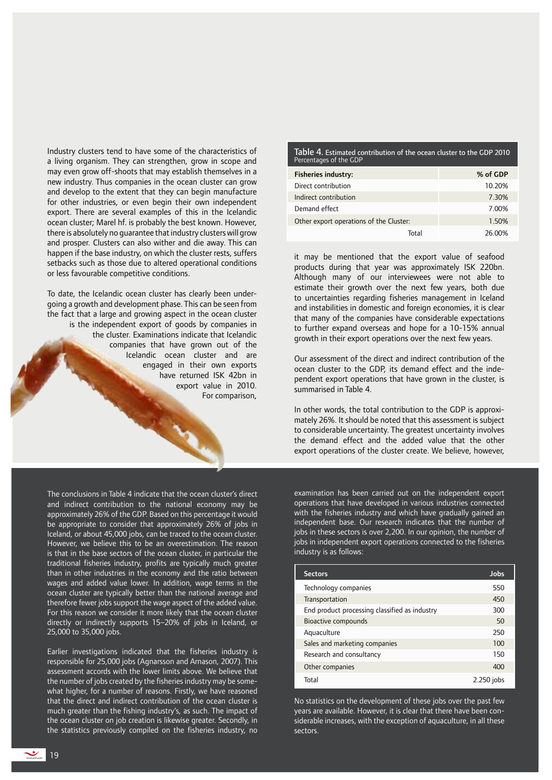Industry clusters tend to have some of the characteristics of a living organism. They can strengthen, grow in scope and may even grow off-shoots that may establish themselves in a new industry. Thus companies in the ocean cluster can grow and develop to the extent that they can begin manufacture for other industries, or even begin their own independent export. There are several examples of this in the Icelandic ocean cluster; Marel hf. is probably the best known. However, there is absolutely no guarantee that industry clusters will grow and prosper. Clusters can also wither and die away. This can happen if the base industry, on which the cluster rests, suffers setbacks such as those due to altered operational conditions or less favourable competitive conditions.

To date, the Icelandic ocean cluster has clearly been undergoing a growth and development phase. This can be seen from the fact that a large and growing aspect in the ocean cluster is the independent export of goods by companies in the cluster. Examinations indicate that Icelandic companies that have grown out of the Icelandic ocean cluster and are engaged in their own exports have returned ISK 42bn in export value in 2010. For comparison,

The conclusions in Table 4 indicate that the ocean cluster's direct and indirect contribution to the national economy may be approximately 26% of the GDP. Based on this percentage it would be appropriate to consider that approximately 26% of jobs in Iceland, or about 45,000 jobs, can be traced to the ocean cluster. However, we believe this to be an overestimation. The reason is that in the base sectors of the ocean cluster, in particular the traditional fisheries industry, profits are typically much greater than in other industries in the economy and the ratio between wages and added value lower. In addition, wage terms in the ocean cluster are typically better than the national average and therefore fewer jobs support the wage aspect of the added value. For this reason we consider it more likely that the ocean cluster directly or indirectly supports 15–20% of jobs in Iceland, or 25,000 to 35,000 jobs.

Earlier investigations indicated that the fisheries industry is responsible for 25,000 jobs (Agnarsson and Arnason, 2007). This assessment accords with the lower limits above. We believe that the number of jobs created by the fisheries industry may be somewhat higher, for a number of reasons. Firstly, we have reasoned that the direct and indirect contribution of the ocean cluster is much greater than the fishing industry's, as such. The impact of the ocean cluster on job creation is likewise greater. Secondly, in the statistics previously compiled on the fisheries industry, no

Table 4. Estimated contribution of the ocean cluster to the GDP 2010 Percentages of the GDP

| <b>Fisheries industry:</b>              | % of GDP |
|-----------------------------------------|----------|
| Direct contribution                     | 10.20%   |
| Indirect contribution                   | 7.30%    |
| Demand effect                           | 7.00%    |
| Other export operations of the Cluster: | 1.50%    |
| Total                                   | 26.00%   |

it may be mentioned that the export value of seafood products during that year was approximately ISK 220bn. Although many of our interviewees were not able to estimate their growth over the next few years, both due to uncertainties regarding fisheries management in Iceland and instabilities in domestic and foreign economies, it is clear that many of the companies have considerable expectations to further expand overseas and hope for a 10-15% annual growth in their export operations over the next few years.

Our assessment of the direct and indirect contribution of the ocean cluster to the GDP, its demand effect and the independent export operations that have grown in the cluster, is summarised in Table 4.

In other words, the total contribution to the GDP is approximately 26%. It should be noted that this assessment is subject to considerable uncertainty. The greatest uncertainty involves the demand effect and the added value that the other export operations of the cluster create. We believe, however,

examination has been carried out on the independent export operations that have developed in various industries connected with the fisheries industry and which have gradually gained an independent base. Our research indicates that the number of jobs in these sectors is over 2,200. In our opinion, the number of jobs in independent export operations connected to the fisheries industry is as follows:

| <b>Sectors</b>                                | Jobs       |
|-----------------------------------------------|------------|
| Technology companies                          | 550        |
| Transportation                                | 450        |
| End product processing classified as industry | 300        |
| Bioactive compounds                           | 50         |
| Aquaculture                                   | 250        |
| Sales and marketing companies                 | 100        |
| Research and consultancy                      | 150        |
| Other companies                               | 400        |
| Total                                         | 2.250 jobs |

No statistics on the development of these jobs over the past few years are available. However, it is clear that there have been considerable increases, with the exception of aquaculture, in all these sectors.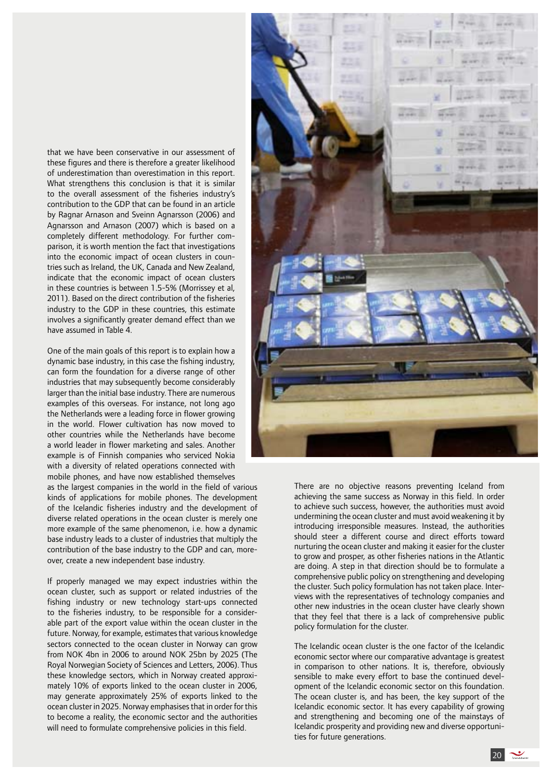that we have been conservative in our assessment of these figures and there is therefore a greater likelihood of underestimation than overestimation in this report. What strengthens this conclusion is that it is similar to the overall assessment of the fisheries industry's contribution to the GDP that can be found in an article by Ragnar Arnason and Sveinn Agnarsson (2006) and Agnarsson and Arnason (2007) which is based on a completely different methodology. For further comparison, it is worth mention the fact that investigations into the economic impact of ocean clusters in countries such as Ireland, the UK, Canada and New Zealand, indicate that the economic impact of ocean clusters in these countries is between 1.5-5% (Morrissey et al, 2011). Based on the direct contribution of the fisheries industry to the GDP in these countries, this estimate involves a significantly greater demand effect than we have assumed in Table 4.

One of the main goals of this report is to explain how a dynamic base industry, in this case the fishing industry, can form the foundation for a diverse range of other industries that may subsequently become considerably larger than the initial base industry. There are numerous examples of this overseas. For instance, not long ago the Netherlands were a leading force in flower growing in the world. Flower cultivation has now moved to other countries while the Netherlands have become a world leader in flower marketing and sales. Another example is of Finnish companies who serviced Nokia with a diversity of related operations connected with mobile phones, and have now established themselves

as the largest companies in the world in the field of various kinds of applications for mobile phones. The development of the Icelandic fisheries industry and the development of diverse related operations in the ocean cluster is merely one more example of the same phenomenon, i.e. how a dynamic base industry leads to a cluster of industries that multiply the contribution of the base industry to the GDP and can, moreover, create a new independent base industry.

If properly managed we may expect industries within the ocean cluster, such as support or related industries of the fishing industry or new technology start-ups connected to the fisheries industry, to be responsible for a considerable part of the export value within the ocean cluster in the future. Norway, for example, estimates that various knowledge sectors connected to the ocean cluster in Norway can grow from NOK 4bn in 2006 to around NOK 25bn by 2025 (The Royal Norwegian Society of Sciences and Letters, 2006). Thus these knowledge sectors, which in Norway created approximately 10% of exports linked to the ocean cluster in 2006, may generate approximately 25% of exports linked to the ocean cluster in 2025. Norway emphasises that in order for this to become a reality, the economic sector and the authorities will need to formulate comprehensive policies in this field.



There are no objective reasons preventing Iceland from achieving the same success as Norway in this field. In order to achieve such success, however, the authorities must avoid undermining the ocean cluster and must avoid weakening it by introducing irresponsible measures. Instead, the authorities should steer a different course and direct efforts toward nurturing the ocean cluster and making it easier for the cluster to grow and prosper, as other fisheries nations in the Atlantic are doing. A step in that direction should be to formulate a comprehensive public policy on strengthening and developing the cluster. Such policy formulation has not taken place. Interviews with the representatives of technology companies and other new industries in the ocean cluster have clearly shown that they feel that there is a lack of comprehensive public policy formulation for the cluster.

The Icelandic ocean cluster is the one factor of the Icelandic economic sector where our comparative advantage is greatest in comparison to other nations. It is, therefore, obviously sensible to make every effort to base the continued development of the Icelandic economic sector on this foundation. The ocean cluster is, and has been, the key support of the Icelandic economic sector. It has every capability of growing and strengthening and becoming one of the mainstays of Icelandic prosperity and providing new and diverse opportunities for future generations.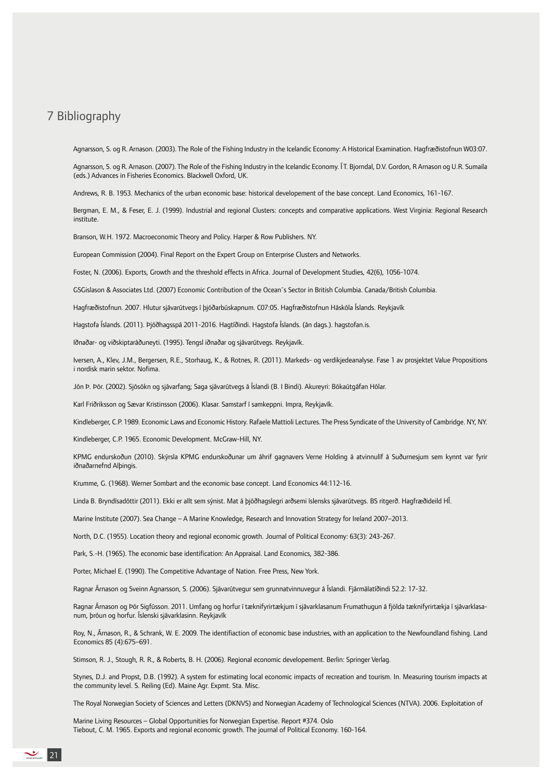# 7 Bibliography

Agnarsson, S. og R. Arnason. (2003). The Role of the Fishing Industry in the Icelandic Economy: A Historical Examination. Hagfræðistofnun W03:07.

Agnarsson, S. og R. Arnason. (2007). The Role of the Fishing Industry in the Icelandic Economy. Í T. Bjorndal, D.V. Gordon, R Arnason og U.R. Sumaila (eds.) Advances in Fisheries Economics. Blackwell Oxford, UK.

Andrews, R. B. 1953. Mechanics of the urban economic base: historical developement of the base concept. Land Economics, 161-167.

Bergman, E. M., & Feser, E. J. (1999). Industrial and regional Clusters: concepts and comparative applications. West Virginia: Regional Research institute.

Branson, W.H. 1972. Macroeconomic Theory and Policy. Harper & Row Publishers. NY.

European Commission (2004). Final Report on the Expert Group on Enterprise Clusters and Networks.

Foster, N. (2006). Exports, Growth and the threshold effects in Africa. Journal of Development Studies, 42(6), 1056-1074.

GSGislason & Associates Ltd. (2007) Economic Contribution of the Ocean´s Sector in British Columbia. Canada/British Columbia.

Hagfræðistofnun. 2007. Hlutur sjávarútvegs í þjóðarbúskapnum. C07:05. Hagfræðistofnun Háskóla Íslands. Reykjavík

Hagstofa Íslands. (2011). Þjóðhagsspá 2011-2016. Hagtíðindi. Hagstofa Íslands. (án dags.). hagstofan.is.

Iðnaðar- og viðskiptaráðuneyti. (1995). Tengsl iðnaðar og sjávarútvegs. Reykjavík.

Iversen, A., Klev, J.M., Bergersen, R.E., Storhaug, K., & Rotnes, R. (2011). Markeds- og verdikjedeanalyse. Fase 1 av prosjektet Value Propositions i nordisk marin sektor. Nofima.

Jón Þ. Þór. (2002). Sjósókn og sjávarfang; Saga sjávarútvegs á Íslandi (B. I Bindi). Akureyri: Bókaútgáfan Hólar.

Karl Friðriksson og Sævar Kristinsson (2006). Klasar. Samstarf í samkeppni. Impra, Reykjavík.

Kindleberger, C.P. 1989. Economic Laws and Economic History. Rafaele Mattioli Lectures. The Press Syndicate of the University of Cambridge. NY, NY.

Kindleberger, C.P. 1965. Economic Development. McGraw-Hill, NY.

KPMG endurskoðun (2010). Skýrsla KPMG endurskoðunar um áhrif gagnavers Verne Holding á atvinnulíf á Suðurnesjum sem kynnt var fyrir iðnaðarnefnd Alþingis.

Krumme, G. (1968). Werner Sombart and the economic base concept. Land Economics 44:112-16.

Linda B. Bryndísadóttir (2011). Ekki er allt sem sýnist. Mat á þjóðhagslegri arðsemi íslensks sjávarútvegs. BS ritgerð. Hagfræðideild HÍ.

Marine Institute (2007). Sea Change – A Marine Knowledge, Research and Innovation Strategy for Ireland 2007–2013.

North, D.C. (1955). Location theory and regional economic growth. Journal of Political Economy: 63(3): 243-267.

Park, S.-H. (1965). The economic base identification: An Appraisal. Land Economics, 382-386.

Porter, Michael E. (1990). The Competitive Advantage of Nation. Free Press, New York.

Ragnar Árnason og Sveinn Agnarsson, S. (2006). Sjávarútvegur sem grunnatvinnuvegur á Íslandi. Fjármálatíðindi 52.2: 17-32.

Ragnar Árnason og Þór Sigfússon. 2011. Umfang og horfur í tæknifyrirtækjum í sjávarklasanum Frumathugun á fjölda tæknifyrirtækja í sjávarklasanum, þróun og horfur. Íslenski sjávarklasinn. Reykjavík

Roy, N., Árnason, R., & Schrank, W. E. 2009. The identifiaction of economic base industries, with an application to the Newfoundland fishing. Land Economics 85 (4):675–691.

Stimson, R. J., Stough, R. R., & Roberts, B. H. (2006). Regional economic developement. Berlin: Springer Verlag.

Stynes, D.J. and Propst, D.B. (1992). A system for estimating local economic impacts of recreation and tourism. In. Measuring tourism impacts at the community level. S. Reiling (Ed). Maine Agr. Expmt. Sta. Misc.

The Royal Norwegian Society of Sciences and Letters (DKNVS) and Norwegian Academy of Technological Sciences (NTVA). 2006. Exploitation of

Marine Living Resources – Global Opportunities for Norwegian Expertise. Report #374. Oslo Tiebout, C. M. 1965. Exports and regional economic growth. The journal of Political Economy. 160-164.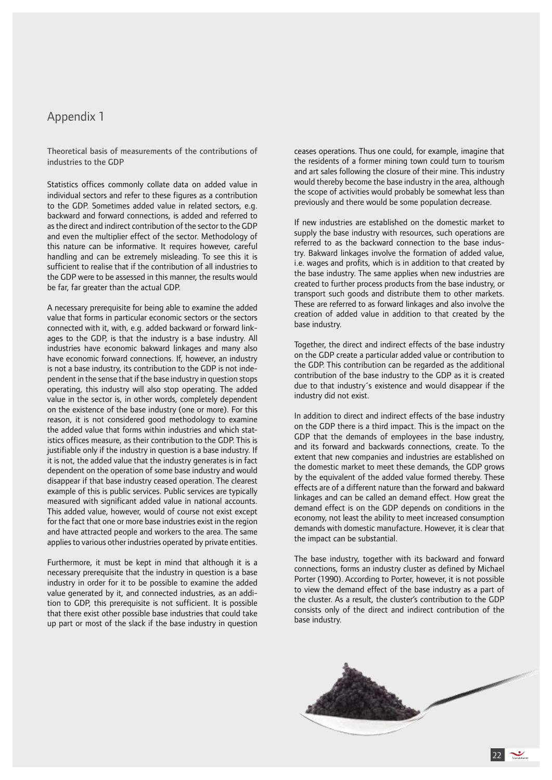# Appendix 1

Theoretical basis of measurements of the contributions of industries to the GDP

Statistics offices commonly collate data on added value in individual sectors and refer to these figures as a contribution to the GDP. Sometimes added value in related sectors, e.g. backward and forward connections, is added and referred to as the direct and indirect contribution of the sector to the GDP and even the multiplier effect of the sector. Methodology of this nature can be informative. It requires however, careful handling and can be extremely misleading. To see this it is sufficient to realise that if the contribution of all industries to the GDP were to be assessed in this manner, the results would be far, far greater than the actual GDP.

A necessary prerequisite for being able to examine the added value that forms in particular economic sectors or the sectors connected with it, with, e.g. added backward or forward linkages to the GDP, is that the industry is a base industry. All industries have economic bakward linkages and many also have economic forward connections. If, however, an industry is not a base industry, its contribution to the GDP is not independent in the sense that if the base industry in question stops operating, this industry will also stop operating. The added value in the sector is, in other words, completely dependent on the existence of the base industry (one or more). For this reason, it is not considered good methodology to examine the added value that forms within industries and which statistics offices measure, as their contribution to the GDP. This is justifiable only if the industry in question is a base industry. If it is not, the added value that the industry generates is in fact dependent on the operation of some base industry and would disappear if that base industry ceased operation. The clearest example of this is public services. Public services are typically measured with significant added value in national accounts. This added value, however, would of course not exist except for the fact that one or more base industries exist in the region and have attracted people and workers to the area. The same applies to various other industries operated by private entities.

Furthermore, it must be kept in mind that although it is a necessary prerequisite that the industry in question is a base industry in order for it to be possible to examine the added value generated by it, and connected industries, as an addition to GDP, this prerequisite is not sufficient. It is possible that there exist other possible base industries that could take up part or most of the slack if the base industry in question ceases operations. Thus one could, for example, imagine that the residents of a former mining town could turn to tourism and art sales following the closure of their mine. This industry would thereby become the base industry in the area, although the scope of activities would probably be somewhat less than previously and there would be some population decrease.

If new industries are established on the domestic market to supply the base industry with resources, such operations are referred to as the backward connection to the base industry. Bakward linkages involve the formation of added value, i.e. wages and profits, which is in addition to that created by the base industry. The same applies when new industries are created to further process products from the base industry, or transport such goods and distribute them to other markets. These are referred to as forward linkages and also involve the creation of added value in addition to that created by the base industry.

Together, the direct and indirect effects of the base industry on the GDP create a particular added value or contribution to the GDP. This contribution can be regarded as the additional contribution of the base industry to the GDP as it is created due to that industry´s existence and would disappear if the industry did not exist.

In addition to direct and indirect effects of the base industry on the GDP there is a third impact. This is the impact on the GDP that the demands of employees in the base industry, and its forward and backwards connections, create. To the extent that new companies and industries are established on the domestic market to meet these demands, the GDP grows by the equivalent of the added value formed thereby. These effects are of a different nature than the forward and bakward linkages and can be called an demand effect. How great the demand effect is on the GDP depends on conditions in the economy, not least the ability to meet increased consumption demands with domestic manufacture. However, it is clear that the impact can be substantial.

The base industry, together with its backward and forward connections, forms an industry cluster as defined by Michael Porter (1990). According to Porter, however, it is not possible to view the demand effect of the base industry as a part of the cluster. As a result, the cluster's contribution to the GDP consists only of the direct and indirect contribution of the base industry.



22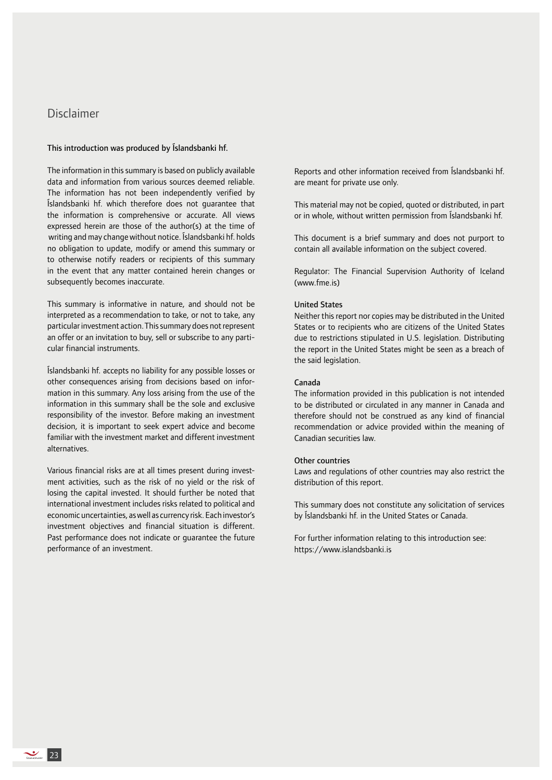# Disclaimer

#### This introduction was produced by Íslandsbanki hf.

The information in this summary is based on publicly available data and information from various sources deemed reliable. The information has not been independently verified by Íslandsbanki hf. which therefore does not guarantee that the information is comprehensive or accurate. All views expressed herein are those of the author(s) at the time of writing and may change without notice. Íslandsbanki hf. holds no obligation to update, modify or amend this summary or to otherwise notify readers or recipients of this summary in the event that any matter contained herein changes or subsequently becomes inaccurate.

This summary is informative in nature, and should not be interpreted as a recommendation to take, or not to take, any particular investment action. This summary does not represent an offer or an invitation to buy, sell or subscribe to any particular financial instruments.

Íslandsbanki hf. accepts no liability for any possible losses or other consequences arising from decisions based on information in this summary. Any loss arising from the use of the information in this summary shall be the sole and exclusive responsibility of the investor. Before making an investment decision, it is important to seek expert advice and become familiar with the investment market and different investment alternatives.

Various financial risks are at all times present during investment activities, such as the risk of no yield or the risk of losing the capital invested. It should further be noted that international investment includes risks related to political and economic uncertainties, as well as currency risk. Each investor's investment objectives and financial situation is different. Past performance does not indicate or guarantee the future performance of an investment.

Reports and other information received from Íslandsbanki hf. are meant for private use only.

This material may not be copied, quoted or distributed, in part or in whole, without written permission from Íslandsbanki hf.

This document is a brief summary and does not purport to contain all available information on the subject covered.

Regulator: The Financial Supervision Authority of Iceland (www.fme.is)

#### United States

Neither this report nor copies may be distributed in the United States or to recipients who are citizens of the United States due to restrictions stipulated in U.S. legislation. Distributing the report in the United States might be seen as a breach of the said legislation.

#### Canada

The information provided in this publication is not intended to be distributed or circulated in any manner in Canada and therefore should not be construed as any kind of financial recommendation or advice provided within the meaning of Canadian securities law.

#### Other countries

Laws and regulations of other countries may also restrict the distribution of this report.

This summary does not constitute any solicitation of services by Íslandsbanki hf. in the United States or Canada.

For further information relating to this introduction see: https://www.islandsbanki.is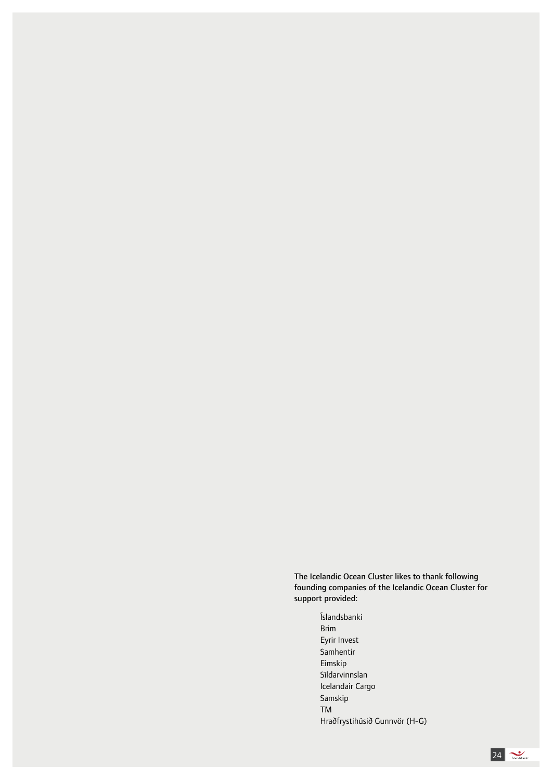The Icelandic Ocean Cluster likes to thank following founding companies of the Icelandic Ocean Cluster for support provided:

> Íslandsbanki Brim Eyrir Invest Samhentir Eimskip Síldarvinnslan Icelandair Cargo Samskip TM Hraðfrystihúsið Gunnvör (H-G)